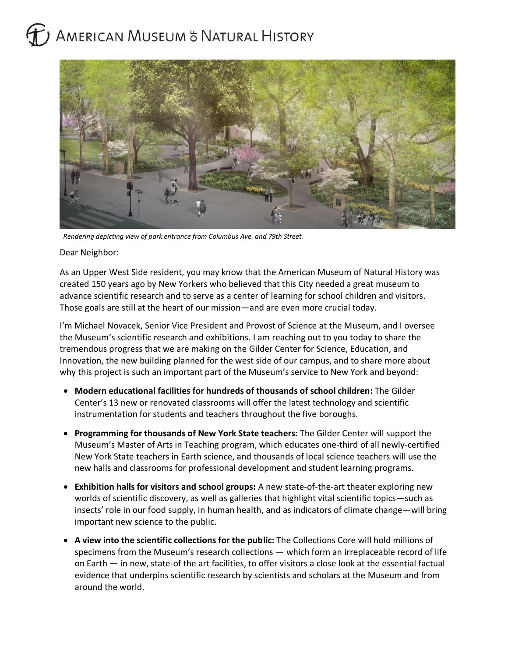## AMERICAN MUSEUM & NATURAL HISTORY



*Rendering depicting view of park entrance from Columbus Ave. and 79th Street.*

Dear Neighbor:

As an Upper West Side resident, you may know that the American Museum of Natural History was created 150 years ago by New Yorkers who believed that this City needed a great museum to advance scientific research and to serve as a center of learning for school children and visitors. Those goals are still at the heart of our mission—and are even more crucial today.

I'm Michael Novacek, Senior Vice President and Provost of Science at the Museum, and I oversee the Museum's scientific research and exhibitions. I am reaching out to you today to share the tremendous progress that we are making on the Gilder Center for Science, Education, and Innovation, the new building planned for the west side of our campus, and to share more about why this project is such an important part of the Museum's service to New York and beyond:

- **Modern educational facilities for hundreds of thousands of school children:** The Gilder Center's 13 new or renovated classrooms will offer the latest technology and scientific instrumentation for students and teachers throughout the five boroughs.
- **Programming for thousands of New York State teachers:** The Gilder Center will support the Museum's Master of Arts in Teaching program, which educates one-third of all newly-certified New York State teachers in Earth science, and thousands of local science teachers will use the new halls and classrooms for professional development and student learning programs.
- **Exhibition halls for visitors and school groups:** A new state-of-the-art theater exploring new worlds of scientific discovery, as well as galleries that highlight vital scientific topics—such as insects' role in our food supply, in human health, and as indicators of climate change—will bring important new science to the public.
- **A view into the scientific collections for the public:** The Collections Core will hold millions of specimens from the Museum's research collections — which form an irreplaceable record of life on Earth — in new, state-of the art facilities, to offer visitors a close look at the essential factual evidence that underpins scientific research by scientists and scholars at the Museum and from around the world.